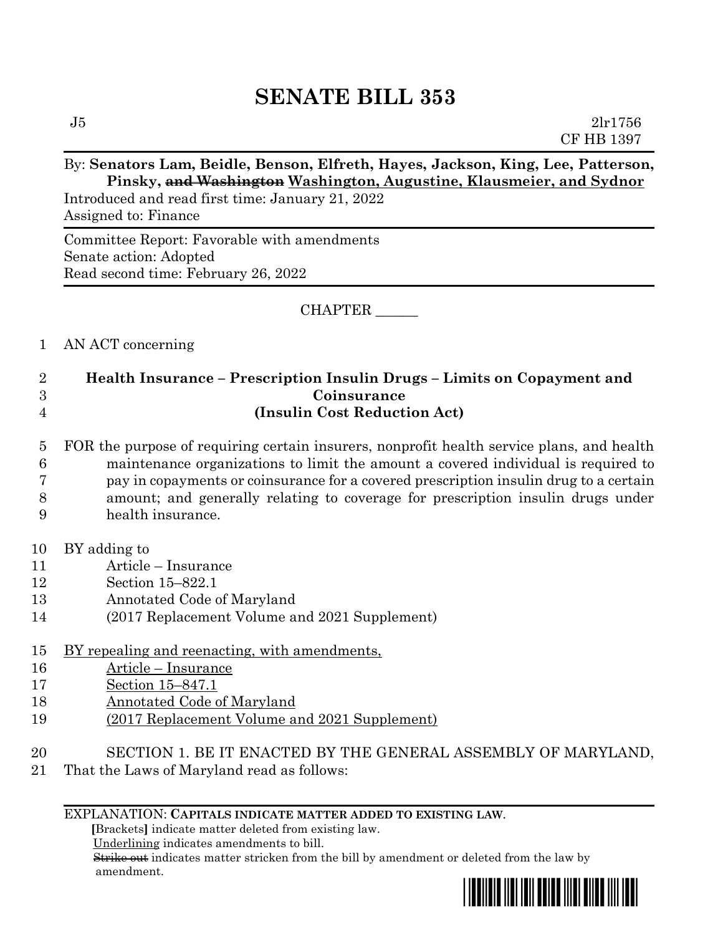# **SENATE BILL 353**

## By: **Senators Lam, Beidle, Benson, Elfreth, Hayes, Jackson, King, Lee, Patterson, Pinsky, and Washington Washington, Augustine, Klausmeier, and Sydnor**

Introduced and read first time: January 21, 2022 Assigned to: Finance

Committee Report: Favorable with amendments Senate action: Adopted Read second time: February 26, 2022

CHAPTER \_\_\_\_\_\_

## 1 AN ACT concerning

## 2 **Health Insurance – Prescription Insulin Drugs – Limits on Copayment and**  3 **Coinsurance** 4 **(Insulin Cost Reduction Act)**

- 5 FOR the purpose of requiring certain insurers, nonprofit health service plans, and health 6 maintenance organizations to limit the amount a covered individual is required to 7 pay in copayments or coinsurance for a covered prescription insulin drug to a certain 8 amount; and generally relating to coverage for prescription insulin drugs under 9 health insurance.
- 10 BY adding to
- 11 Article Insurance
- 12 Section 15–822.1
- 13 Annotated Code of Maryland
- 14 (2017 Replacement Volume and 2021 Supplement)
- 15 BY repealing and reenacting, with amendments,
- 16 Article Insurance
- 17 Section 15–847.1
- 18 Annotated Code of Maryland
- 19 (2017 Replacement Volume and 2021 Supplement)
- 20 SECTION 1. BE IT ENACTED BY THE GENERAL ASSEMBLY OF MARYLAND,
- 21 That the Laws of Maryland read as follows:

#### EXPLANATION: **CAPITALS INDICATE MATTER ADDED TO EXISTING LAW**.

 **[**Brackets**]** indicate matter deleted from existing law.

Underlining indicates amendments to bill.

 Strike out indicates matter stricken from the bill by amendment or deleted from the law by amendment.

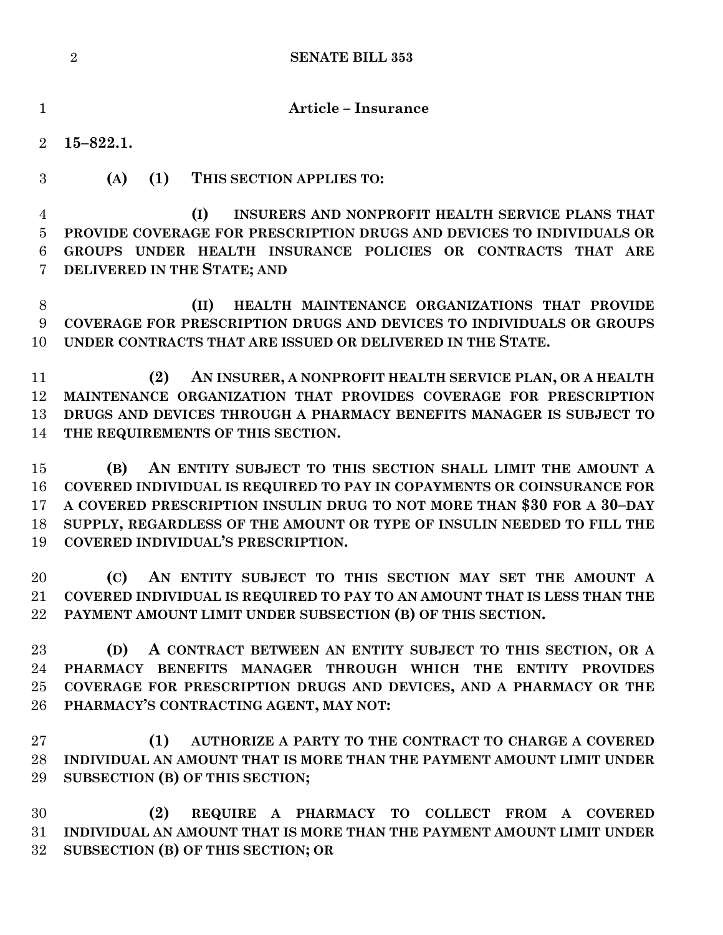|                  | $\overline{2}$<br><b>SENATE BILL 353</b>                                                                                         |
|------------------|----------------------------------------------------------------------------------------------------------------------------------|
| $\mathbf{1}$     | <b>Article - Insurance</b>                                                                                                       |
| $\overline{2}$   | $15 - 822.1.$                                                                                                                    |
| 3                | (A)<br>(1) THIS SECTION APPLIES TO:                                                                                              |
| 4<br>5           | INSURERS AND NONPROFIT HEALTH SERVICE PLANS THAT<br>(I)<br>PROVIDE COVERAGE FOR PRESCRIPTION DRUGS AND DEVICES TO INDIVIDUALS OR |
| 6                | GROUPS UNDER HEALTH INSURANCE POLICIES OR CONTRACTS THAT ARE                                                                     |
| $\overline{7}$   | DELIVERED IN THE STATE; AND                                                                                                      |
| $8\,$            | HEALTH MAINTENANCE ORGANIZATIONS THAT PROVIDE<br>(II)                                                                            |
| $\boldsymbol{9}$ | COVERAGE FOR PRESCRIPTION DRUGS AND DEVICES TO INDIVIDUALS OR GROUPS                                                             |
| 10               | UNDER CONTRACTS THAT ARE ISSUED OR DELIVERED IN THE STATE.                                                                       |
| 11               | AN INSURER, A NONPROFIT HEALTH SERVICE PLAN, OR A HEALTH<br>(2)                                                                  |
| 12               | MAINTENANCE ORGANIZATION THAT PROVIDES COVERAGE FOR PRESCRIPTION                                                                 |
| 13               | DRUGS AND DEVICES THROUGH A PHARMACY BENEFITS MANAGER IS SUBJECT TO                                                              |
| 14               | THE REQUIREMENTS OF THIS SECTION.                                                                                                |
| 15               | AN ENTITY SUBJECT TO THIS SECTION SHALL LIMIT THE AMOUNT A<br>(B)                                                                |
| 16               | COVERED INDIVIDUAL IS REQUIRED TO PAY IN COPAYMENTS OR COINSURANCE FOR                                                           |
| 17               | A COVERED PRESCRIPTION INSULIN DRUG TO NOT MORE THAN \$30 FOR A 30-DAY                                                           |
| 18               | SUPPLY, REGARDLESS OF THE AMOUNT OR TYPE OF INSULIN NEEDED TO FILL THE                                                           |
| 19               | COVERED INDIVIDUAL'S PRESCRIPTION.                                                                                               |
| 20               | AN ENTITY SUBJECT TO THIS SECTION MAY SET THE AMOUNT A<br>(C)                                                                    |
| $21\,$           | COVERED INDIVIDUAL IS REQUIRED TO PAY TO AN AMOUNT THAT IS LESS THAN THE                                                         |

 **(D) A CONTRACT BETWEEN AN ENTITY SUBJECT TO THIS SECTION, OR A PHARMACY BENEFITS MANAGER THROUGH WHICH THE ENTITY PROVIDES COVERAGE FOR PRESCRIPTION DRUGS AND DEVICES, AND A PHARMACY OR THE PHARMACY'S CONTRACTING AGENT, MAY NOT:**

**PAYMENT AMOUNT LIMIT UNDER SUBSECTION (B) OF THIS SECTION.**

 **(1) AUTHORIZE A PARTY TO THE CONTRACT TO CHARGE A COVERED INDIVIDUAL AN AMOUNT THAT IS MORE THAN THE PAYMENT AMOUNT LIMIT UNDER SUBSECTION (B) OF THIS SECTION;**

 **(2) REQUIRE A PHARMACY TO COLLECT FROM A COVERED INDIVIDUAL AN AMOUNT THAT IS MORE THAN THE PAYMENT AMOUNT LIMIT UNDER SUBSECTION (B) OF THIS SECTION; OR**